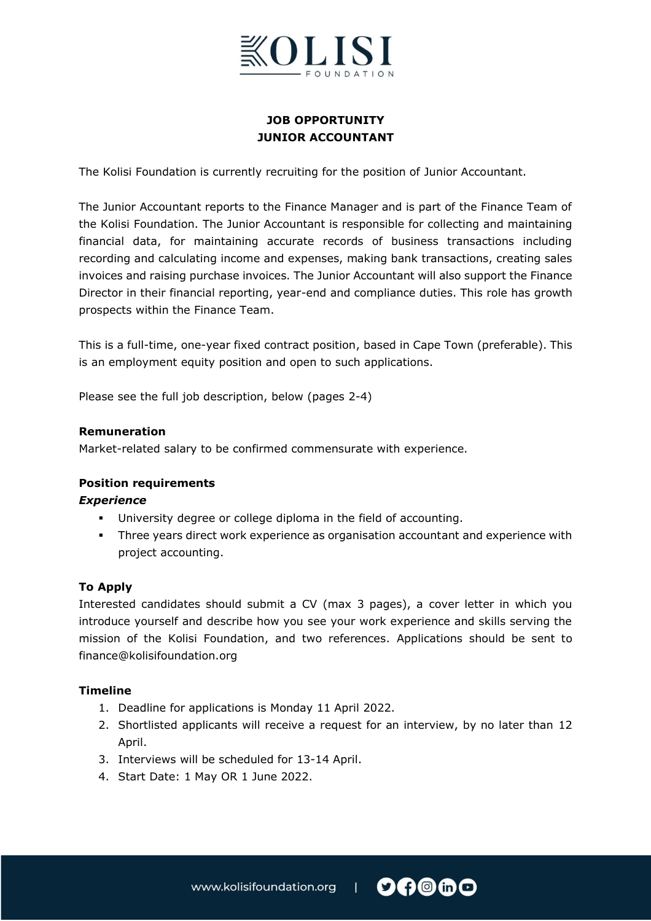

# **JOB OPPORTUNITY JUNIOR ACCOUNTANT**

The Kolisi Foundation is currently recruiting for the position of Junior Accountant.

The Junior Accountant reports to the Finance Manager and is part of the Finance Team of the Kolisi Foundation. The Junior Accountant is responsible for collecting and maintaining financial data, for maintaining accurate records of business transactions including recording and calculating income and expenses, making bank transactions, creating sales invoices and raising purchase invoices. The Junior Accountant will also support the Finance Director in their financial reporting, year-end and compliance duties. This role has growth prospects within the Finance Team.

This is a full-time, one-year fixed contract position, based in Cape Town (preferable). This is an employment equity position and open to such applications.

Please see the full job description, below (pages 2-4)

#### **Remuneration**

Market-related salary to be confirmed commensurate with experience.

## **Position requirements**

#### *Experience*

- University degree or college diploma in the field of accounting.
- Three years direct work experience as organisation accountant and experience with project accounting.

## **To Apply**

Interested candidates should submit a CV (max 3 pages), a cover letter in which you introduce yourself and describe how you see your work experience and skills serving the mission of the Kolisi Foundation, and two references. Applications should be sent to finance@kolisifoundation.org

#### **Timeline**

- 1. Deadline for applications is Monday 11 April 2022.
- 2. Shortlisted applicants will receive a request for an interview, by no later than 12 April.
- 3. Interviews will be scheduled for 13-14 April.
- 4. Start Date: 1 May OR 1 June 2022.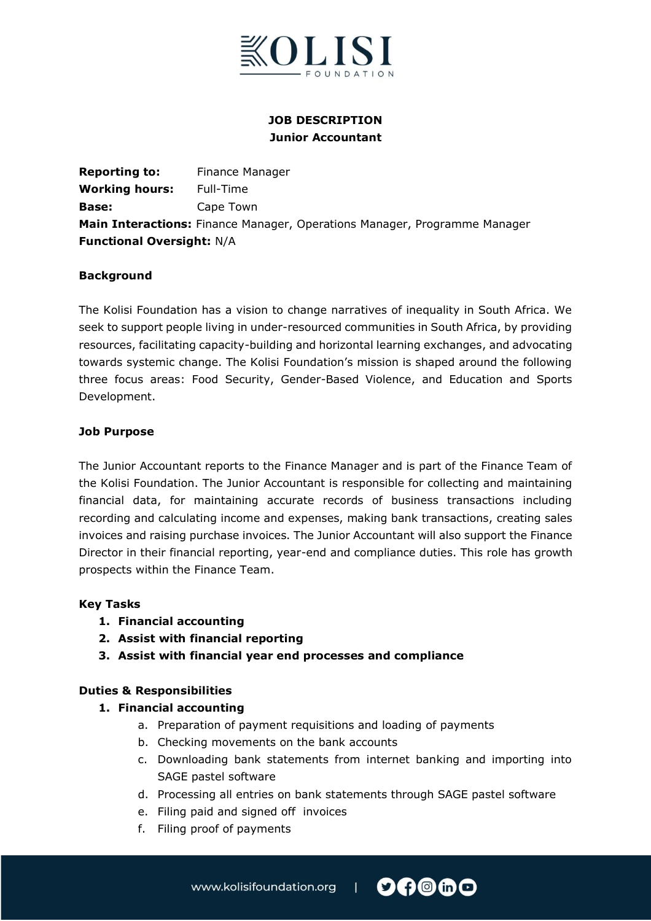

# **JOB DESCRIPTION Junior Accountant**

**Reporting to:** Finance Manager **Working hours:** Full-Time **Base:** Cape Town **Main Interactions:** Finance Manager, Operations Manager, Programme Manager **Functional Oversight:** N/A

#### **Background**

The Kolisi Foundation has a vision to change narratives of inequality in South Africa. We seek to support people living in under-resourced communities in South Africa, by providing resources, facilitating capacity-building and horizontal learning exchanges, and advocating towards systemic change. The Kolisi Foundation's mission is shaped around the following three focus areas: Food Security, Gender-Based Violence, and Education and Sports Development.

#### **Job Purpose**

The Junior Accountant reports to the Finance Manager and is part of the Finance Team of the Kolisi Foundation. The Junior Accountant is responsible for collecting and maintaining financial data, for maintaining accurate records of business transactions including recording and calculating income and expenses, making bank transactions, creating sales invoices and raising purchase invoices. The Junior Accountant will also support the Finance Director in their financial reporting, year-end and compliance duties. This role has growth prospects within the Finance Team.

#### **Key Tasks**

- **1. Financial accounting**
- **2. Assist with financial reporting**
- **3. Assist with financial year end processes and compliance**

## **Duties & Responsibilities**

## **1. Financial accounting**

- a. Preparation of payment requisitions and loading of payments
- b. Checking movements on the bank accounts
- c. Downloading bank statements from internet banking and importing into SAGE pastel software
- d. Processing all entries on bank statements through SAGE pastel software
- e. Filing paid and signed off invoices
- f. Filing proof of payments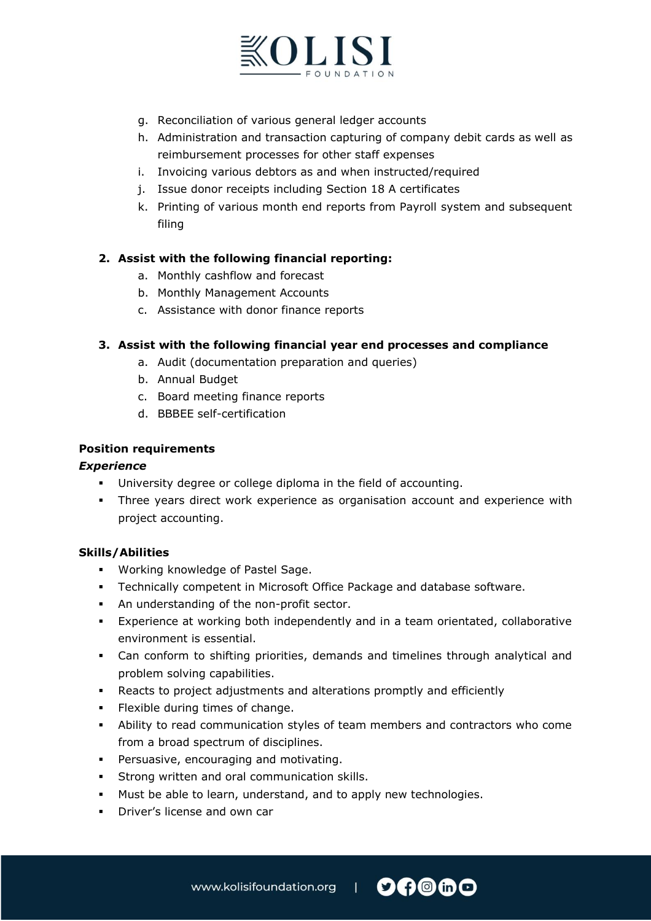

- g. Reconciliation of various general ledger accounts
- h. Administration and transaction capturing of company debit cards as well as reimbursement processes for other staff expenses
- i. Invoicing various debtors as and when instructed/required
- j. Issue donor receipts including Section 18 A certificates
- k. Printing of various month end reports from Payroll system and subsequent filing

## **2. Assist with the following financial reporting:**

- a. Monthly cashflow and forecast
- b. Monthly Management Accounts
- c. Assistance with donor finance reports

## **3. Assist with the following financial year end processes and compliance**

- a. Audit (documentation preparation and queries)
- b. Annual Budget
- c. Board meeting finance reports
- d. BBBEE self-certification

## **Position requirements**

## *Experience*

- University degree or college diploma in the field of accounting.
- Three years direct work experience as organisation account and experience with project accounting.

## **Skills/Abilities**

- Working knowledge of Pastel Sage.
- Technically competent in Microsoft Office Package and database software.
- An understanding of the non-profit sector.
- Experience at working both independently and in a team orientated, collaborative environment is essential.
- Can conform to shifting priorities, demands and timelines through analytical and problem solving capabilities.
- Reacts to project adjustments and alterations promptly and efficiently
- Flexible during times of change.
- Ability to read communication styles of team members and contractors who come from a broad spectrum of disciplines.
- **•** Persuasive, encouraging and motivating.
- Strong written and oral communication skills.
- Must be able to learn, understand, and to apply new technologies.
- **•** Driver's license and own car